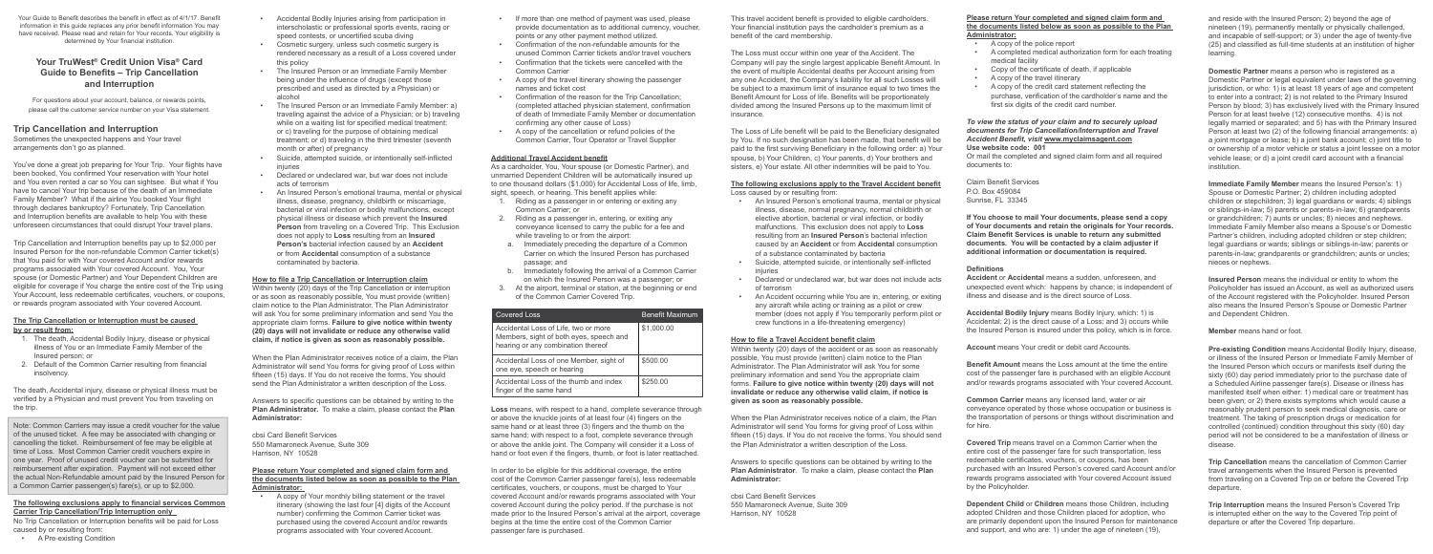Your Guide to Benefit describes the benefit in effect as of 4/1/17. Benefit information in this guide replaces any prior benefit information You may have received. Please read and retain for Your records. Your eligibility is determined by Your financial institution.

# **Your TruWest® Credit Union Visa® Card Guide to Benefits – Trip Cancellation and Interruption**

For questions about your account, balance, or rewards points, please call the customer service number on your Visa statement.

# **Trip Cancellation and Interruption**

Sometimes the unexpected happens and Your travel arrangements don't go as planned.

You've done a great job preparing for Your Trip. Your flights have been booked, You confirmed Your reservation with Your hotel and You even rented a car so You can sightsee. But what if You have to cancel Your trip because of the death of an Immediate Family Member? What if the airline You booked Your flight through declares bankruptcy? Fortunately, Trip Cancellation and Interruption benefits are available to help You with these unforeseen circumstances that could disrupt Your travel plans.

Trip Cancellation and Interruption benefits pay up to \$2,000 per Insured Person for the non-refundable Common Carrier ticket(s) that You paid for with Your covered Account and/or rewards programs associated with Your covered Account. You, Your spouse (or Domestic Partner) and Your Dependent Children are eligible for coverage if You charge the entire cost of the Trip using Your Account, less redeemable certificates, vouchers, or coupons, or rewards program associated with Your covered Account.

## **The Trip Cancellation or Interruption must be caused by or result from:**

- 1. The death, Accidental Bodily Injury, disease or physical illness of You or an Immediate Family Member of the Insured person; or
- 2. Default of the Common Carrier resulting from financial insolvency.

The death, Accidental injury, disease or physical illness must be verified by a Physician and must prevent You from traveling on the trip.

Note: Common Carriers may issue a credit voucher for the value of the unused ticket. A fee may be associated with changing or cancelling the ticket. Reimbursement of fee may be eligible at time of Loss. Most Common Carrier credit vouchers expire in one year. Proof of unused credit voucher can be submitted for reimbursement after expiration. Payment will not exceed either the actual Non-Refundable amount paid by the Insured Person for a Common Carrier passenger(s) fare(s), or up to \$2,000.

# **The following exclusions apply to financial services Common Carrier Trip Cancellation/Trip Interruption only**

No Trip Cancellation or Interruption benefits will be paid for Loss caused by or resulting from:

• A Pre-existing Condition

- Accidental Bodily Injuries arising from participation in interscholastic or professional sports events, racing or speed contests, or uncertified scuba diving
- Cosmetic surgery, unless such cosmetic surgery is rendered necessary as a result of a Loss covered under this policy
- The Insured Person or an Immediate Family Member being under the influence of drugs (except those prescribed and used as directed by a Physician) or alcohol
- The Insured Person or an Immediate Family Member: a) traveling against the advice of a Physician; or b) traveling while on a waiting list for specified medical treatment; or c) traveling for the purpose of obtaining medical treatment; or d) traveling in the third trimester (seventh month or after) of pregnancy
- Suicide, attempted suicide, or intentionally self-inflicted injuries
- Declared or undeclared war, but war does not include acts of terrorism
- An Insured Person's emotional trauma, mental or physical illness, disease, pregnancy, childbirth or miscarriage, bacterial or viral infection or bodily malfunctions, except physical illness or disease which prevent the **Insured Person** from traveling on a Covered Trip. This Exclusion does not apply to **Loss** resulting from an **Insured Person's** bacterial infection caused by an **Accident** or from **Accidental** consumption of a substance contaminated by bacteria.

# **How to file a Trip Cancellation or Interruption claim**

Within twenty (20) days of the Trip Cancellation or interruption or as soon as reasonably possible, You must provide (written) claim notice to the Plan Administrator. The Plan Administrator will ask You for some preliminary information and send You the appropriate claim forms. **Failure to give notice within twenty (20) days will not invalidate or reduce any otherwise valid claim, if notice is given as soon as reasonably possible.** 

- 
- injuries
- of terrorism
- 

When the Plan Administrator receives notice of a claim, the Plan Administrator will send You forms for giving proof of Loss within fifteen (15) days. If You do not receive the forms, You should send the Plan Administrator a written description of the Loss.

Answers to specific questions can be obtained by writing to the **Plan Administrator.** To make a claim, please contact the **Plan Administrator:**

cbsi Card Benefit Services 550 Mamaroneck Avenue, Suite 309 Harrison, NY 10528

# **Please return Your completed and signed claim form and the documents listed below as soon as possible to the Plan Administrator:**

• A copy of Your monthly billing statement or the travel itinerary (showing the last four [4] digits of the Account number) confirming the Common Carrier ticket was purchased using the covered Account and/or rewards programs associated with Your covered Account.

- If more than one method of payment was used, please provide documentation as to additional currency, voucher, points or any other payment method utilized.
- Confirmation of the non-refundable amounts for the unused Common Carrier tickets and/or travel vouchers
- Confirmation that the tickets were cancelled with the Common Carrier
- A copy of the travel itinerary showing the passenger names and ticket cost
- Confirmation of the reason for the Trip Cancellation; (completed attached physician statement, confirmation of death of Immediate Family Member or documentation confirming any other cause of Loss)
- A copy of the cancellation or refund policies of the Common Carrier, Tour Operator or Travel Supplier

# **Additional Travel Accident benefit**

As a cardholder, You, Your spouse (or Domestic Partner), and unmarried Dependent Children will be automatically insured up to one thousand dollars (\$1,000) for Accidental Loss of life, limb, sight, speech, or hearing. This benefit applies while:

- 1. Riding as a passenger in or entering or exiting any Common Carrier; or
- 2. Riding as a passenger in, entering, or exiting any conveyance licensed to carry the public for a fee and while traveling to or from the airport:
- a. Immediately preceding the departure of a Common Carrier on which the Insured Person has purchased passage; and
- b. Immediately following the arrival of a Common Carrier on which the Insured Person was a passenger; or
- 3. At the airport, terminal or station, at the beginning or end of the Common Carrier Covered Trip.

**Loss** means, with respect to a hand, complete severance through or above the knuckle joints of at least four (4) fingers on the same hand or at least three (3) fingers and the thumb on the same hand; with respect to a foot, complete severance through or above the ankle joint. The Company will consider it a Loss of hand or foot even if the fingers, thumb, or foot is later reattached.

In order to be eligible for this additional coverage, the entire cost of the Common Carrier passenger fare(s), less redeemable certificates, vouchers, or coupons, must be charged to Your covered Account and/or rewards programs associated with Your covered Account during the policy period. If the purchase is not made prior to the Insured Person's arrival at the airport, coverage begins at the time the entire cost of the Common Carrier passenger fare is purchased.

**Pre-existing Condition** means Accidental Bodily Injury, disease or illness of the Insured Person or Immediate Family Member of the Insured Person which occurs or manifests itself during the sixty (60) day period immediately prior to the purchase date of a Scheduled Airline passenger fare(s). Disease or illness has manifested itself when either: 1) medical care or treatment has been given; or 2) there exists symptoms which would cause a reasonably prudent person to seek medical diagnosis, care or treatment. The taking of prescription drugs or medication for controlled (continued) condition throughout this sixty (60) day period will not be considered to be a manifestation of illness or disease.

This travel accident benefit is provided to eligible cardholders. Your financial institution pays the cardholder's premium as a benefit of the card membership.

The Loss must occur within one year of the Accident. The Company will pay the single largest applicable Benefit Amount. In the event of multiple Accidental deaths per Account arising from any one Accident, the Company's liability for all such Losses will be subject to a maximum limit of insurance equal to two times the Benefit Amount for Loss of life. Benefits will be proportionately divided among the Insured Persons up to the maximum limit of insurance.

The Loss of Life benefit will be paid to the Beneficiary designated by You. If no such designation has been made, that benefit will be paid to the first surviving Beneficiary in the following order: a) Your spouse, b) Your Children, c) Your parents, d) Your brothers and sisters, e) Your estate. All other indemnities will be paid to You.

#### **The following exclusions apply to the Travel Accident benefit** Loss caused by or resulting from:

• An Insured Person's emotional trauma, mental or physical illness, disease, normal pregnancy, normal childbirth or elective abortion, bacterial or viral infection, or bodily malfunctions. This exclusion does not apply to **Loss**  resulting from an **Insured Person**'s bacterial infection caused by an **Accident** or from **Accidental** consumption of a substance contaminated by bacteria • Suicide, attempted suicide, or intentionally self-inflicted

• Declared or undeclared war, but war does not include acts

• An Accident occurring while You are in, entering, or exiting any aircraft while acting or training as a pilot or crew member (does not apply if You temporarily perform pilot or crew functions in a life-threatening emergency)

# **How to file a Travel Accident benefit claim**

Within twenty (20) days of the accident or as soon as reasonably possible, You must provide (written) claim notice to the Plan Administrator. The Plan Administrator will ask You for some preliminary information and send You the appropriate claim forms. **Failure to give notice within twenty (20) days will not invalidate or reduce any otherwise valid claim, if notice is given as soon as reasonably possible.** 

When the Plan Administrator receives notice of a claim, the Plan Administrator will send You forms for giving proof of Loss within fifteen (15) days. If You do not receive the forms, You should send the Plan Administrator a written description of the Loss.

Answers to specific questions can be obtained by writing to the **Plan Administrator**. To make a claim, please contact the **Plan** 

**Administrator:**

cbsi Card Benefit Services 550 Mamaroneck Avenue, Suite 309 Harrison, NY 10528

## **Please return Your completed and signed claim form and the documents listed below as soon as possible to the Plan Administrator:**

- A copy of the police report
- A completed medical authorization form for each treating medical facility
- Copy of the certificate of death, if applicable
- A copy of the travel itinerary
- A copy of the credit card statement reflecting the purchase, verification of the cardholder's name and the first six digits of the credit card number.

#### *To view the status of your claim and to securely upload documents for Trip Cancellation/Interruption and Travel Accident Benefit, visit* **www.myclaimsagent.com Use website code: 001**

Or mail the completed and signed claim form and all required documents to:

Claim Benefit Services P.O. Box 459084 Sunrise, FL 33345

**If You choose to mail Your documents, please send a copy of Your documents and retain the originals for Your records. Claim Benefit Services is unable to return any submitted documents. You will be contacted by a claim adjuster if additional information or documentation is required.**

# **Definitions**

**Accident** or **Accidental** means a sudden, unforeseen, and unexpected event which: happens by chance; is independent of illness and disease and is the direct source of Loss.

**Accidental Bodily Injury** means Bodily Injury, which: 1) is Accidental; 2) is the direct cause of a Loss; and 3) occurs while the Insured Person is insured under this policy, which is in force.

**Account** means Your credit or debit card Accounts.

**Benefit Amount** means the Loss amount at the time the entire cost of the passenger fare is purchased with an eligible Account and/or rewards programs associated with Your covered Account.

**Common Carrier** means any licensed land, water or air conveyance operated by those whose occupation or business is the transportation of persons or things without discrimination and for hire.

**Covered Trip** means travel on a Common Carrier when the entire cost of the passenger fare for such transportation, less redeemable certificates, vouchers, or coupons, has been purchased with an Insured Person's covered card Account and/or rewards programs associated with Your covered Account issued by the Policyholder.

**Dependent Child** or **Children** means those Children, including adopted Children and those Children placed for adoption, who are primarily dependent upon the Insured Person for maintenance and support, and who are: 1) under the age of nineteen (19),

and reside with the Insured Person; 2) beyond the age of nineteen (19), permanently mentally or physically challenged, and incapable of self-support; or 3) under the age of twenty-five (25) and classified as full-time students at an institution of higher learning.

**Domestic Partner** means a person who is registered as a Domestic Partner or legal equivalent under laws of the governing jurisdiction, or who: 1) is at least 18 years of age and competent to enter into a contract; 2) is not related to the Primary Insured Person by blood; 3) has exclusively lived with the Primary Insured Person for at least twelve (12) consecutive months. 4) is not legally married or separated; and 5) has with the Primary Insured Person at least two (2) of the following financial arrangements: a) a joint mortgage or lease; b) a joint bank account; c) joint title to or ownership of a motor vehicle or status a joint lessee on a motor vehicle lease; or d) a joint credit card account with a financial institution.

**Immediate Family Member** means the Insured Person's: 1) Spouse or Domestic Partner; 2) children including adopted children or stepchildren; 3) legal guardians or wards; 4) siblings or siblings-in-law; 5) parents or parents-in-law; 6) grandparents or grandchildren; 7) aunts or uncles; 8) nieces and nephews. Immediate Family Member also means a Spouse's or Domestic Partner's children, including adopted children or step children; legal guardians or wards; siblings or siblings-in-law; parents or parents-in-law; grandparents or grandchildren; aunts or uncles; nieces or nephews.

**Insured Person** means the individual or entity to whom the Policyholder has issued an Account, as well as authorized users of the Account registered with the Policyholder. Insured Person also means the Insured Person's Spouse or Domestic Partner and Dependent Children.

**Member** means hand or foot.

**Trip Cancellation** means the cancellation of Common Carrier travel arrangements when the Insured Person is prevented from traveling on a Covered Trip on or before the Covered Trip departure.

**Trip Interruption** means the Insured Person's Covered Trip is interrupted either on the way to the Covered Trip point of departure or after the Covered Trip departure.

| <b>Covered Loss</b>                                                                                                   | Benefit Maximum |
|-----------------------------------------------------------------------------------------------------------------------|-----------------|
| Accidental Loss of Life, two or more<br>Members, sight of both eyes, speech and<br>hearing or any combination thereof | \$1,000.00      |
| Accidental Loss of one Member, sight of<br>one eye, speech or hearing                                                 | \$500.00        |
| Accidental Loss of the thumb and index<br>finger of the same hand                                                     | \$250.00        |